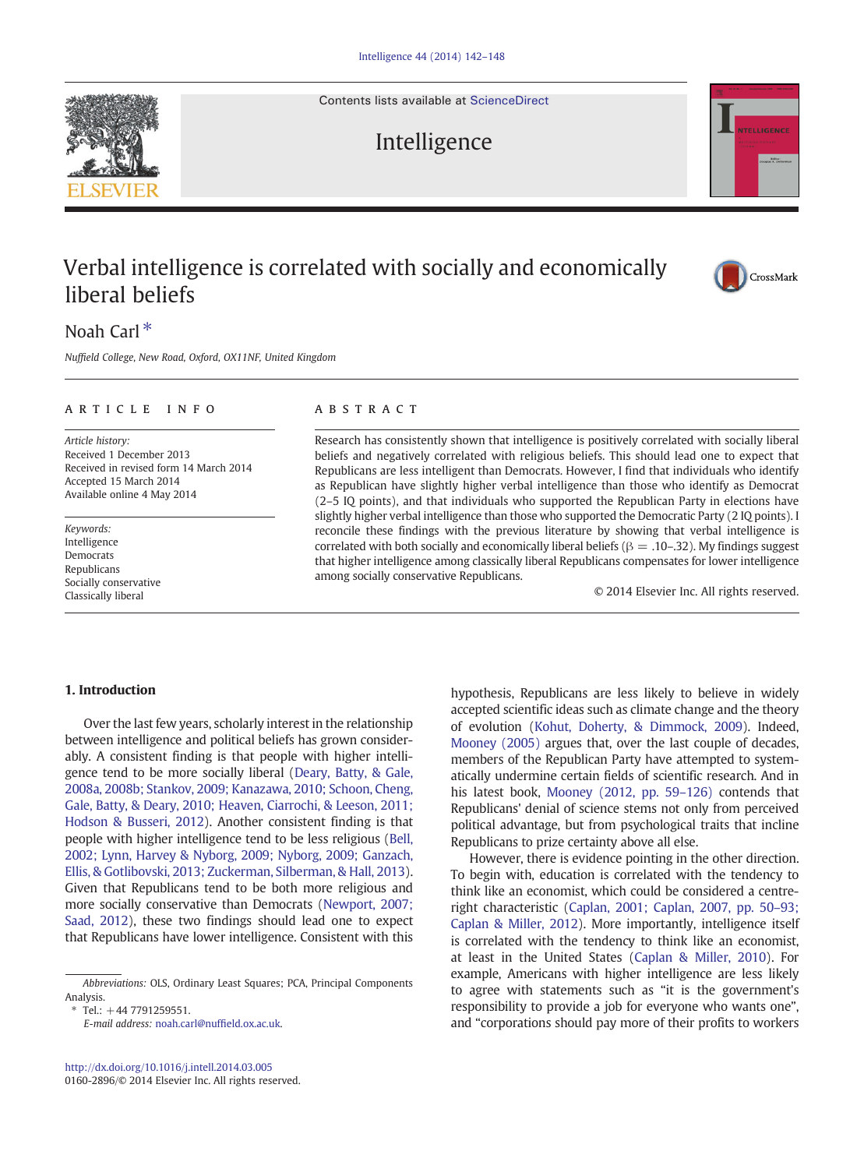Contents lists available at [ScienceDirect](http://www.sciencedirect.com/science/journal/01602896)





## Noah Carl $*$

Nuffield College, New Road, Oxford, OX11NF, United Kingdom

#### article info abstract

Article history: Received 1 December 2013 Received in revised form 14 March 2014 Accepted 15 March 2014 Available online 4 May 2014

Keywords: Intelligence Democrats Republicans Socially conservative Classically liberal

Research has consistently shown that intelligence is positively correlated with socially liberal beliefs and negatively correlated with religious beliefs. This should lead one to expect that Republicans are less intelligent than Democrats. However, I find that individuals who identify as Republican have slightly higher verbal intelligence than those who identify as Democrat (2–5 IQ points), and that individuals who supported the Republican Party in elections have slightly higher verbal intelligence than those who supported the Democratic Party (2 IQ points). I reconcile these findings with the previous literature by showing that verbal intelligence is correlated with both socially and economically liberal beliefs ( $\beta = .10$ –.32). My findings suggest that higher intelligence among classically liberal Republicans compensates for lower intelligence among socially conservative Republicans.

© 2014 Elsevier Inc. All rights reserved.

### 1. Introduction

Over the last few years, scholarly interest in the relationship between intelligence and political beliefs has grown considerably. A consistent finding is that people with higher intelligence tend to be more socially liberal [\(Deary, Batty, & Gale,](#page--1-0) [2008a, 2008b; Stankov, 2009; Kanazawa, 2010; Schoon, Cheng,](#page--1-0) [Gale, Batty, & Deary, 2010; Heaven, Ciarrochi, & Leeson, 2011;](#page--1-0) [Hodson & Busseri, 2012](#page--1-0)). Another consistent finding is that people with higher intelligence tend to be less religious [\(Bell,](#page--1-0) [2002; Lynn, Harvey & Nyborg, 2009; Nyborg, 2009; Ganzach,](#page--1-0) [Ellis, & Gotlibovski, 2013; Zuckerman, Silberman, & Hall, 2013](#page--1-0)). Given that Republicans tend to be both more religious and more socially conservative than Democrats [\(Newport, 2007;](#page--1-0) [Saad, 2012](#page--1-0)), these two findings should lead one to expect that Republicans have lower intelligence. Consistent with this

 $Tel· + 44 7791259551$ 

E-mail address: [noah.carl@nuf](mailto:noah.carl@nuffield.ox.ac.uk)field.ox.ac.uk.

hypothesis, Republicans are less likely to believe in widely accepted scientific ideas such as climate change and the theory of evolution ([Kohut, Doherty, & Dimmock, 2009\)](#page--1-0). Indeed, [Mooney \(2005\)](#page--1-0) argues that, over the last couple of decades, members of the Republican Party have attempted to systematically undermine certain fields of scientific research. And in his latest book, [Mooney \(2012, pp. 59](#page--1-0)–126) contends that Republicans' denial of science stems not only from perceived political advantage, but from psychological traits that incline Republicans to prize certainty above all else.

However, there is evidence pointing in the other direction. To begin with, education is correlated with the tendency to think like an economist, which could be considered a centreright characteristic [\(Caplan, 2001; Caplan, 2007, pp. 50](#page--1-0)–93; [Caplan & Miller, 2012](#page--1-0)). More importantly, intelligence itself is correlated with the tendency to think like an economist, at least in the United States [\(Caplan & Miller, 2010](#page--1-0)). For example, Americans with higher intelligence are less likely to agree with statements such as "it is the government's responsibility to provide a job for everyone who wants one", and "corporations should pay more of their profits to workers





Abbreviations: OLS, Ordinary Least Squares; PCA, Principal Components Analysis.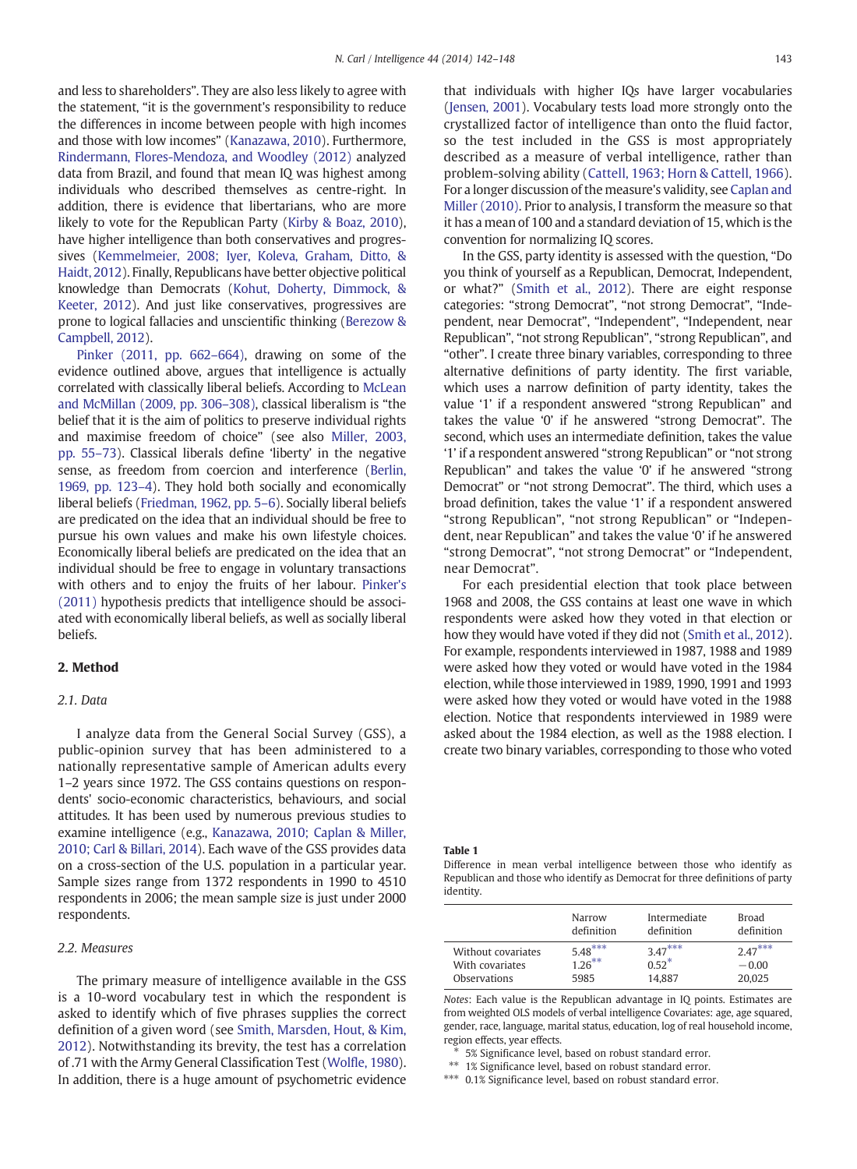and less to shareholders". They are also less likely to agree with the statement, "it is the government's responsibility to reduce the differences in income between people with high incomes and those with low incomes" [\(Kanazawa, 2010\)](#page--1-0). Furthermore, [Rindermann, Flores-Mendoza, and Woodley \(2012\)](#page--1-0) analyzed data from Brazil, and found that mean IQ was highest among individuals who described themselves as centre-right. In addition, there is evidence that libertarians, who are more likely to vote for the Republican Party ([Kirby & Boaz, 2010\)](#page--1-0), have higher intelligence than both conservatives and progressives [\(Kemmelmeier, 2008; Iyer, Koleva, Graham, Ditto, &](#page--1-0) [Haidt, 2012](#page--1-0)). Finally, Republicans have better objective political knowledge than Democrats [\(Kohut, Doherty, Dimmock, &](#page--1-0) [Keeter, 2012](#page--1-0)). And just like conservatives, progressives are prone to logical fallacies and unscientific thinking ([Berezow &](#page--1-0) [Campbell, 2012\)](#page--1-0).

[Pinker \(2011, pp. 662](#page--1-0)–664), drawing on some of the evidence outlined above, argues that intelligence is actually correlated with classically liberal beliefs. According to [McLean](#page--1-0) [and McMillan \(2009, pp. 306](#page--1-0)–308), classical liberalism is "the belief that it is the aim of politics to preserve individual rights and maximise freedom of choice" (see also [Miller, 2003,](#page--1-0) [pp. 55](#page--1-0)–73). Classical liberals define 'liberty' in the negative sense, as freedom from coercion and interference [\(Berlin,](#page--1-0) [1969, pp. 123](#page--1-0)–4). They hold both socially and economically liberal beliefs [\(Friedman, 1962, pp. 5](#page--1-0)–6). Socially liberal beliefs are predicated on the idea that an individual should be free to pursue his own values and make his own lifestyle choices. Economically liberal beliefs are predicated on the idea that an individual should be free to engage in voluntary transactions with others and to enjoy the fruits of her labour. [Pinker's](#page--1-0) [\(2011\)](#page--1-0) hypothesis predicts that intelligence should be associated with economically liberal beliefs, as well as socially liberal beliefs.

#### 2. Method

#### 2.1. Data

I analyze data from the General Social Survey (GSS), a public-opinion survey that has been administered to a nationally representative sample of American adults every 1–2 years since 1972. The GSS contains questions on respondents' socio-economic characteristics, behaviours, and social attitudes. It has been used by numerous previous studies to examine intelligence (e.g., [Kanazawa, 2010; Caplan & Miller,](#page--1-0) [2010; Carl & Billari, 2014](#page--1-0)). Each wave of the GSS provides data on a cross-section of the U.S. population in a particular year. Sample sizes range from 1372 respondents in 1990 to 4510 respondents in 2006; the mean sample size is just under 2000 respondents.

#### 2.2. Measures

The primary measure of intelligence available in the GSS is a 10-word vocabulary test in which the respondent is asked to identify which of five phrases supplies the correct definition of a given word (see [Smith, Marsden, Hout, & Kim,](#page--1-0) [2012](#page--1-0)). Notwithstanding its brevity, the test has a correlation of .71 with the Army General Classification Test ([Wolfle, 1980\)](#page--1-0). In addition, there is a huge amount of psychometric evidence

that individuals with higher IQs have larger vocabularies [\(Jensen, 2001](#page--1-0)). Vocabulary tests load more strongly onto the crystallized factor of intelligence than onto the fluid factor, so the test included in the GSS is most appropriately described as a measure of verbal intelligence, rather than problem-solving ability ([Cattell, 1963; Horn & Cattell, 1966\)](#page--1-0). For a longer discussion of the measure's validity, see [Caplan and](#page--1-0) [Miller \(2010\).](#page--1-0) Prior to analysis, I transform the measure so that it has a mean of 100 and a standard deviation of 15, which is the convention for normalizing IQ scores.

In the GSS, party identity is assessed with the question, "Do you think of yourself as a Republican, Democrat, Independent, or what?" [\(Smith et al., 2012\)](#page--1-0). There are eight response categories: "strong Democrat", "not strong Democrat", "Independent, near Democrat", "Independent", "Independent, near Republican", "not strong Republican", "strong Republican", and "other". I create three binary variables, corresponding to three alternative definitions of party identity. The first variable, which uses a narrow definition of party identity, takes the value '1' if a respondent answered "strong Republican" and takes the value '0' if he answered "strong Democrat". The second, which uses an intermediate definition, takes the value '1' if a respondent answered "strong Republican" or "not strong Republican" and takes the value '0' if he answered "strong Democrat" or "not strong Democrat". The third, which uses a broad definition, takes the value '1' if a respondent answered "strong Republican", "not strong Republican" or "Independent, near Republican" and takes the value '0' if he answered "strong Democrat", "not strong Democrat" or "Independent, near Democrat".

For each presidential election that took place between 1968 and 2008, the GSS contains at least one wave in which respondents were asked how they voted in that election or how they would have voted if they did not [\(Smith et al., 2012\)](#page--1-0). For example, respondents interviewed in 1987, 1988 and 1989 were asked how they voted or would have voted in the 1984 election, while those interviewed in 1989, 1990, 1991 and 1993 were asked how they voted or would have voted in the 1988 election. Notice that respondents interviewed in 1989 were asked about the 1984 election, as well as the 1988 election. I create two binary variables, corresponding to those who voted

Table 1

Difference in mean verbal intelligence between those who identify as Republican and those who identify as Democrat for three definitions of party identity.

|                    | Narrow<br>definition | Intermediate<br>definition | Broad<br>definition |
|--------------------|----------------------|----------------------------|---------------------|
| Without covariates | $5.48***$            | $3.47***$                  | $2.47***$           |
| With covariates    | $1.26***$            | $0.52*$                    | $-0.00$             |
| Observations       | 5985                 | 14.887                     | 20.025              |

Notes: Each value is the Republican advantage in IQ points. Estimates are from weighted OLS models of verbal intelligence Covariates: age, age squared, gender, race, language, marital status, education, log of real household income, region effects, year effects.

⁎ 5% Significance level, based on robust standard error.

⁎⁎ 1% Significance level, based on robust standard error.

⁎⁎⁎ 0.1% Significance level, based on robust standard error.